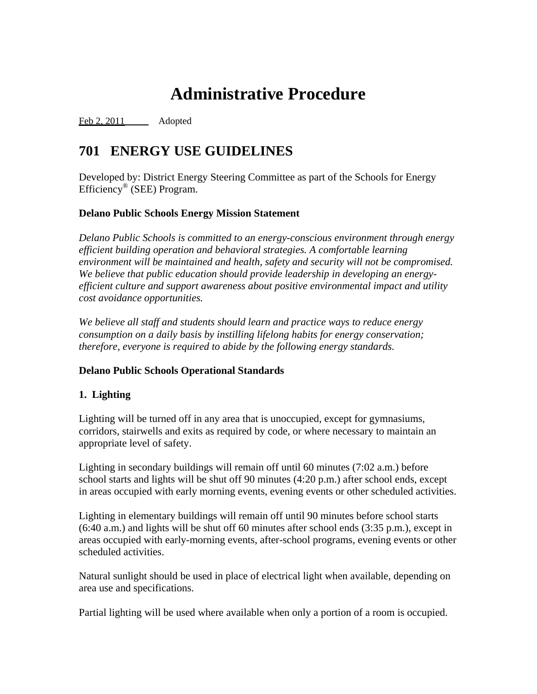# **Administrative Procedure**

Feb 2, 2011 Adopted

# **701 ENERGY USE GUIDELINES**

Developed by: District Energy Steering Committee as part of the Schools for Energy Efficiency® (SEE) Program.

# **Delano Public Schools Energy Mission Statement**

*Delano Public Schools is committed to an energy-conscious environment through energy efficient building operation and behavioral strategies. A comfortable learning environment will be maintained and health, safety and security will not be compromised. We believe that public education should provide leadership in developing an energyefficient culture and support awareness about positive environmental impact and utility cost avoidance opportunities.* 

*We believe all staff and students should learn and practice ways to reduce energy consumption on a daily basis by instilling lifelong habits for energy conservation; therefore, everyone is required to abide by the following energy standards.*

# **Delano Public Schools Operational Standards**

# **1. Lighting**

Lighting will be turned off in any area that is unoccupied, except for gymnasiums, corridors, stairwells and exits as required by code, or where necessary to maintain an appropriate level of safety.

Lighting in secondary buildings will remain off until 60 minutes (7:02 a.m.) before school starts and lights will be shut off 90 minutes (4:20 p.m.) after school ends, except in areas occupied with early morning events, evening events or other scheduled activities.

Lighting in elementary buildings will remain off until 90 minutes before school starts (6:40 a.m.) and lights will be shut off 60 minutes after school ends (3:35 p.m.), except in areas occupied with early-morning events, after-school programs, evening events or other scheduled activities.

Natural sunlight should be used in place of electrical light when available, depending on area use and specifications.

Partial lighting will be used where available when only a portion of a room is occupied.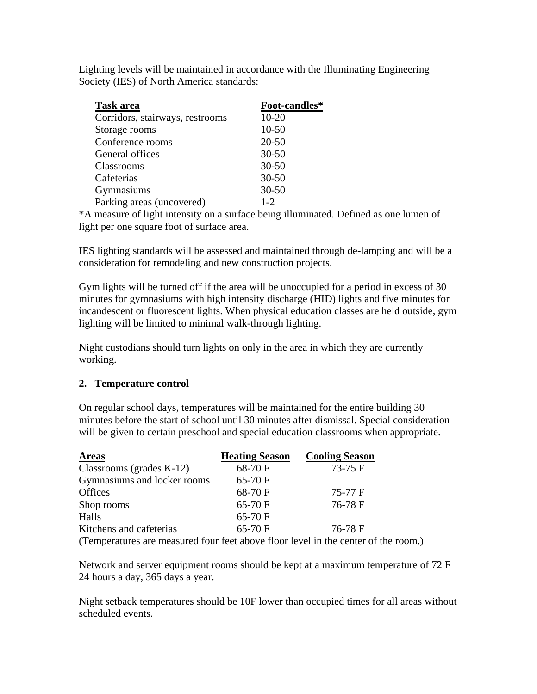Lighting levels will be maintained in accordance with the Illuminating Engineering Society (IES) of North America standards:

| <b>Task area</b>                | Foot-candles* |
|---------------------------------|---------------|
| Corridors, stairways, restrooms | $10 - 20$     |
| Storage rooms                   | $10 - 50$     |
| Conference rooms                | $20 - 50$     |
| General offices                 | $30 - 50$     |
| Classrooms                      | $30 - 50$     |
| Cafeterias                      | $30 - 50$     |
| Gymnasiums                      | $30 - 50$     |
| Parking areas (uncovered)       | $1 - 2$       |
|                                 |               |

\*A measure of light intensity on a surface being illuminated. Defined as one lumen of light per one square foot of surface area.

IES lighting standards will be assessed and maintained through de-lamping and will be a consideration for remodeling and new construction projects.

Gym lights will be turned off if the area will be unoccupied for a period in excess of 30 minutes for gymnasiums with high intensity discharge (HID) lights and five minutes for incandescent or fluorescent lights. When physical education classes are held outside, gym lighting will be limited to minimal walk-through lighting.

Night custodians should turn lights on only in the area in which they are currently working.

#### **2. Temperature control**

On regular school days, temperatures will be maintained for the entire building 30 minutes before the start of school until 30 minutes after dismissal. Special consideration will be given to certain preschool and special education classrooms when appropriate.

| <b>Areas</b>                | <b>Heating Season</b> | <b>Cooling Season</b> |
|-----------------------------|-----------------------|-----------------------|
| Classrooms (grades $K-12$ ) | 68-70 F               | $73-75$ F             |
| Gymnasiums and locker rooms | 65-70 F               |                       |
| <b>Offices</b>              | 68-70 F               | 75-77 F               |
| Shop rooms                  | $65-70$ F             | 76-78 F               |
| Halls                       | 65-70 F               |                       |
| Kitchens and cafeterias     | 65-70 F               | 76-78 F               |

(Temperatures are measured four feet above floor level in the center of the room.)

Network and server equipment rooms should be kept at a maximum temperature of 72 F 24 hours a day, 365 days a year.

Night setback temperatures should be 10F lower than occupied times for all areas without scheduled events.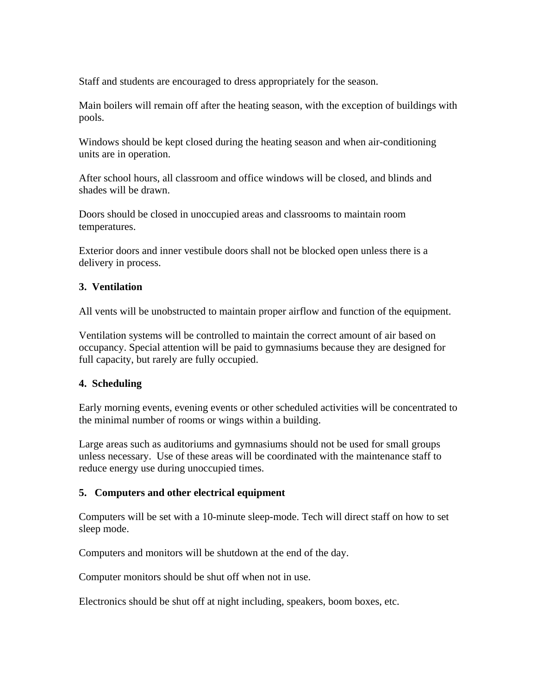Staff and students are encouraged to dress appropriately for the season.

Main boilers will remain off after the heating season, with the exception of buildings with pools.

Windows should be kept closed during the heating season and when air-conditioning units are in operation.

After school hours, all classroom and office windows will be closed, and blinds and shades will be drawn.

Doors should be closed in unoccupied areas and classrooms to maintain room temperatures.

Exterior doors and inner vestibule doors shall not be blocked open unless there is a delivery in process.

# **3. Ventilation**

All vents will be unobstructed to maintain proper airflow and function of the equipment.

Ventilation systems will be controlled to maintain the correct amount of air based on occupancy. Special attention will be paid to gymnasiums because they are designed for full capacity, but rarely are fully occupied.

#### **4. Scheduling**

Early morning events, evening events or other scheduled activities will be concentrated to the minimal number of rooms or wings within a building.

Large areas such as auditoriums and gymnasiums should not be used for small groups unless necessary. Use of these areas will be coordinated with the maintenance staff to reduce energy use during unoccupied times.

#### **5. Computers and other electrical equipment**

Computers will be set with a 10-minute sleep-mode. Tech will direct staff on how to set sleep mode.

Computers and monitors will be shutdown at the end of the day.

Computer monitors should be shut off when not in use.

Electronics should be shut off at night including, speakers, boom boxes, etc.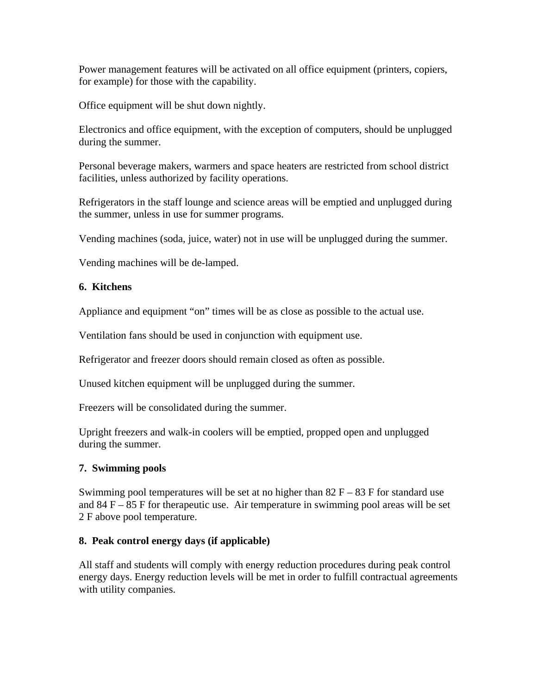Power management features will be activated on all office equipment (printers, copiers, for example) for those with the capability.

Office equipment will be shut down nightly.

Electronics and office equipment, with the exception of computers, should be unplugged during the summer.

Personal beverage makers, warmers and space heaters are restricted from school district facilities, unless authorized by facility operations.

Refrigerators in the staff lounge and science areas will be emptied and unplugged during the summer, unless in use for summer programs.

Vending machines (soda, juice, water) not in use will be unplugged during the summer.

Vending machines will be de-lamped.

# **6. Kitchens**

Appliance and equipment "on" times will be as close as possible to the actual use.

Ventilation fans should be used in conjunction with equipment use.

Refrigerator and freezer doors should remain closed as often as possible.

Unused kitchen equipment will be unplugged during the summer.

Freezers will be consolidated during the summer.

Upright freezers and walk-in coolers will be emptied, propped open and unplugged during the summer.

# **7. Swimming pools**

Swimming pool temperatures will be set at no higher than  $82 F - 83 F$  for standard use and  $84 F - 85 F$  for therapeutic use. Air temperature in swimming pool areas will be set 2 F above pool temperature.

# **8. Peak control energy days (if applicable)**

All staff and students will comply with energy reduction procedures during peak control energy days. Energy reduction levels will be met in order to fulfill contractual agreements with utility companies.